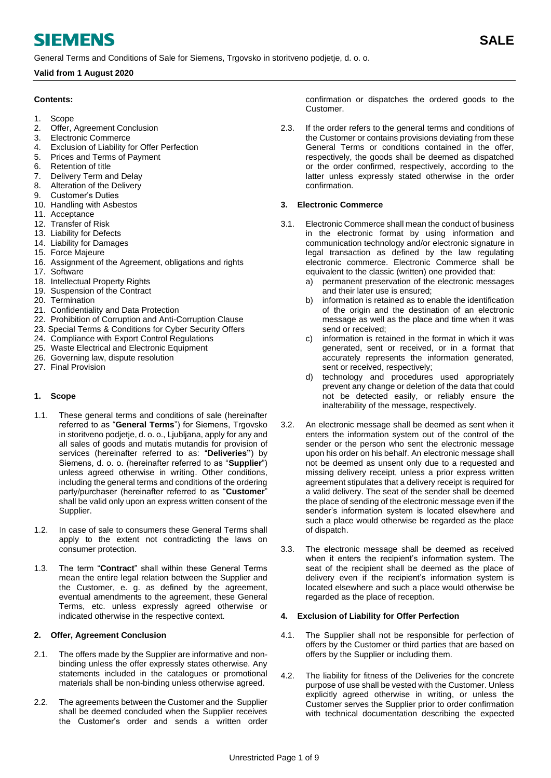# **SIEMENS**

General Terms and Conditions of Sale for Siemens, Trgovsko in storitveno podjetje, d. o. o.

# **Valid from 1 August 2020**

# **Contents:**

- 1. Scope
- 2. [Offer, Agreement Conclusion](#page-0-0)
- 3. [Electronic Commerce](#page-0-1)
- 4. [Exclusion of Liability for Offer Perfection](#page-0-2)
- 5. [Prices and Terms of Payment](#page-1-0)
- 6. [Retention of title](#page-1-1)
- 7. [Delivery Term and Delay](#page-1-2)
- 8. [Alteration of the Delivery](#page-1-3)
- 9. [Customer's Duties](#page-2-0)
- 10. [Handling with Asbestos](#page-2-1)
- 11. [Acceptance](#page-2-2)
- 12. [Transfer of Risk](#page-3-0)
- 13. [Liability for Defects](#page-3-1)
- 14. [Liability for Damages](#page-4-0)
- 15. [Force Majeure](#page-4-1)
- 16. [Assignment of the Agreement, obligations and rights](#page-4-2)
- 17. [Software](#page-4-3)
- 18. [Intellectual Property Rights](#page-5-0)
- 19. [Suspension of the Contract](#page-5-1)
- 20. [Termination](#page-6-0)
- 21. [Confidentiality](#page-6-1) and Data Protection
- 22. [Prohibition of Corruption and Anti-Corruption Clause](#page-7-0)
- 23. Special Terms & Conditions for Cyber Security Offers
- 24. [Compliance with Export Control Regulations](#page-8-0)
- 25. [Waste Electrical and Electronic Equipment](#page-8-1)
- 26. [Governing law, dispute resolution](#page-8-2)
- 27. [Final Provision](#page-8-3)

# **1. Scope**

- 1.1. These general terms and conditions of sale (hereinafter referred to as "**General Terms**") for Siemens, Trgovsko in storitveno podjetje, d. o. o., Ljubljana, apply for any and all sales of goods and mutatis mutandis for provision of services (hereinafter referred to as: "**Deliveries"**) by Siemens, d. o. o. (hereinafter referred to as "**Supplier**") unless agreed otherwise in writing. Other conditions, including the general terms and conditions of the ordering party/purchaser (hereinafter referred to as "**Customer**" shall be valid only upon an express written consent of the Supplier.
- 1.2. In case of sale to consumers these General Terms shall apply to the extent not contradicting the laws on consumer protection.
- 1.3. The term "**Contract**" shall within these General Terms mean the entire legal relation between the Supplier and the Customer, e. g. as defined by the agreement, eventual amendments to the agreement, these General Terms, etc. unless expressly agreed otherwise or indicated otherwise in the respective context.

# <span id="page-0-0"></span>**2. Offer, Agreement Conclusion**

- 2.1. The offers made by the Supplier are informative and nonbinding unless the offer expressly states otherwise. Any statements included in the catalogues or promotional materials shall be non-binding unless otherwise agreed.
- 2.2. The agreements between the Customer and the Supplier shall be deemed concluded when the Supplier receives the Customer's order and sends a written order

confirmation or dispatches the ordered goods to the Customer.

2.3. If the order refers to the general terms and conditions of the Customer or contains provisions deviating from these General Terms or conditions contained in the offer, respectively, the goods shall be deemed as dispatched or the order confirmed, respectively, according to the latter unless expressly stated otherwise in the order confirmation.

## <span id="page-0-1"></span>**3. Electronic Commerce**

- 3.1. Electronic Commerce shall mean the conduct of business in the electronic format by using information and communication technology and/or electronic signature in legal transaction as defined by the law regulating electronic commerce. Electronic Commerce shall be equivalent to the classic (written) one provided that:
	- a) permanent preservation of the electronic messages and their later use is ensured;
	- b) information is retained as to enable the identification of the origin and the destination of an electronic message as well as the place and time when it was send or received;
	- c) information is retained in the format in which it was generated, sent or received, or in a format that accurately represents the information generated, sent or received, respectively;
	- d) technology and procedures used appropriately prevent any change or deletion of the data that could not be detected easily, or reliably ensure the inalterability of the message, respectively.
- 3.2. An electronic message shall be deemed as sent when it enters the information system out of the control of the sender or the person who sent the electronic message upon his order on his behalf. An electronic message shall not be deemed as unsent only due to a requested and missing delivery receipt, unless a prior express written agreement stipulates that a delivery receipt is required for a valid delivery. The seat of the sender shall be deemed the place of sending of the electronic message even if the sender's information system is located elsewhere and such a place would otherwise be regarded as the place of dispatch.
- 3.3. The electronic message shall be deemed as received when it enters the recipient's information system. The seat of the recipient shall be deemed as the place of delivery even if the recipient's information system is located elsewhere and such a place would otherwise be regarded as the place of reception.

#### <span id="page-0-2"></span>**4. Exclusion of Liability for Offer Perfection**

- 4.1. The Supplier shall not be responsible for perfection of offers by the Customer or third parties that are based on offers by the Supplier or including them.
- 4.2. The liability for fitness of the Deliveries for the concrete purpose of use shall be vested with the Customer. Unless explicitly agreed otherwise in writing, or unless the Customer serves the Supplier prior to order confirmation with technical documentation describing the expected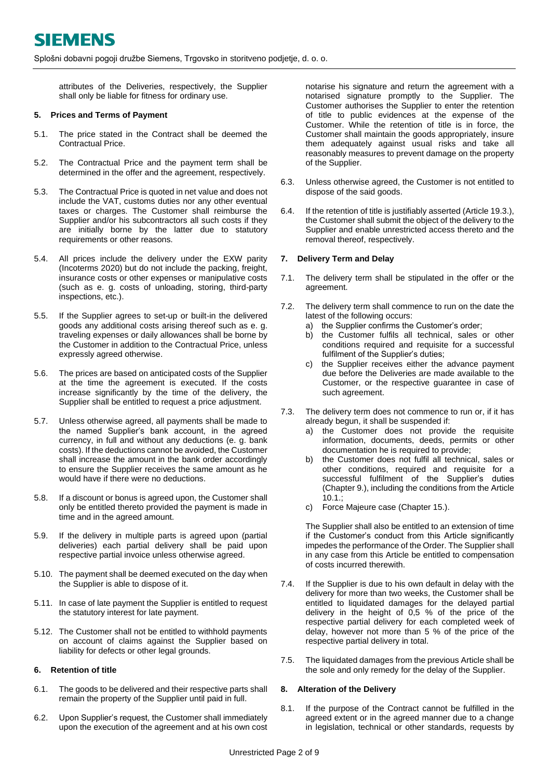attributes of the Deliveries, respectively, the Supplier shall only be liable for fitness for ordinary use.

#### <span id="page-1-0"></span>**5. Prices and Terms of Payment**

- 5.1. The price stated in the Contract shall be deemed the Contractual Price.
- 5.2. The Contractual Price and the payment term shall be determined in the offer and the agreement, respectively.
- 5.3. The Contractual Price is quoted in net value and does not include the VAT, customs duties nor any other eventual taxes or charges. The Customer shall reimburse the Supplier and/or his subcontractors all such costs if they are initially borne by the latter due to statutory requirements or other reasons.
- 5.4. All prices include the delivery under the EXW parity (Incoterms 2020) but do not include the packing, freight, insurance costs or other expenses or manipulative costs (such as e. g. costs of unloading, storing, third-party inspections, etc.).
- 5.5. If the Supplier agrees to set-up or built-in the delivered goods any additional costs arising thereof such as e. g. traveling expenses or daily allowances shall be borne by the Customer in addition to the Contractual Price, unless expressly agreed otherwise.
- 5.6. The prices are based on anticipated costs of the Supplier at the time the agreement is executed. If the costs increase significantly by the time of the delivery, the Supplier shall be entitled to request a price adjustment.
- 5.7. Unless otherwise agreed, all payments shall be made to the named Supplier's bank account, in the agreed currency, in full and without any deductions (e. g. bank costs). If the deductions cannot be avoided, the Customer shall increase the amount in the bank order accordingly to ensure the Supplier receives the same amount as he would have if there were no deductions.
- 5.8. If a discount or bonus is agreed upon, the Customer shall only be entitled thereto provided the payment is made in time and in the agreed amount.
- 5.9. If the delivery in multiple parts is agreed upon (partial deliveries) each partial delivery shall be paid upon respective partial invoice unless otherwise agreed.
- 5.10. The payment shall be deemed executed on the day when the Supplier is able to dispose of it.
- 5.11. In case of late payment the Supplier is entitled to request the statutory interest for late payment.
- 5.12. The Customer shall not be entitled to withhold payments on account of claims against the Supplier based on liability for defects or other legal grounds.

#### <span id="page-1-1"></span>**6. Retention of title**

- 6.1. The goods to be delivered and their respective parts shall remain the property of the Supplier until paid in full.
- 6.2. Upon Supplier's request, the Customer shall immediately upon the execution of the agreement and at his own cost

notarise his signature and return the agreement with a notarised signature promptly to the Supplier. The Customer authorises the Supplier to enter the retention of title to public evidences at the expense of the Customer. While the retention of title is in force, the Customer shall maintain the goods appropriately, insure them adequately against usual risks and take all reasonably measures to prevent damage on the property of the Supplier.

- 6.3. Unless otherwise agreed, the Customer is not entitled to dispose of the said goods.
- 6.4. If the retention of title is justifiably asserted (Articl[e 19.3.](#page-6-2)), the Customer shall submit the object of the delivery to the Supplier and enable unrestricted access thereto and the removal thereof, respectively.

#### <span id="page-1-2"></span>**7. Delivery Term and Delay**

- 7.1. The delivery term shall be stipulated in the offer or the agreement.
- 7.2. The delivery term shall commence to run on the date the latest of the following occurs:
	- a) the Supplier confirms the Customer's order;
	- b) the Customer fulfils all technical, sales or other conditions required and requisite for a successful fulfilment of the Supplier's duties;
	- c) the Supplier receives either the advance payment due before the Deliveries are made available to the Customer, or the respective guarantee in case of such agreement.
- 7.3. The delivery term does not commence to run or, if it has already begun, it shall be suspended if:
	- a) the Customer does not provide the requisite information, documents, deeds, permits or other documentation he is required to provide;
	- b) the Customer does not fulfil all technical, sales or other conditions, required and requisite for a successful fulfilment of the Supplier's duties (Chapte[r 9.](#page-2-0)), including the conditions from the Article [10.1.](#page-2-3);
	- c) Force Majeure case (Chapter [15.](#page-4-1)).

The Supplier shall also be entitled to an extension of time if the Customer's conduct from this Article significantly impedes the performance of the Order. The Supplier shall in any case from this Article be entitled to compensation of costs incurred therewith.

- 7.4. If the Supplier is due to his own default in delay with the delivery for more than two weeks, the Customer shall be entitled to liquidated damages for the delayed partial delivery in the height of 0,5 % of the price of the respective partial delivery for each completed week of delay, however not more than 5 % of the price of the respective partial delivery in total.
- 7.5. The liquidated damages from the previous Article shall be the sole and only remedy for the delay of the Supplier.

#### <span id="page-1-3"></span>**8. Alteration of the Delivery**

8.1. If the purpose of the Contract cannot be fulfilled in the agreed extent or in the agreed manner due to a change in legislation, technical or other standards, requests by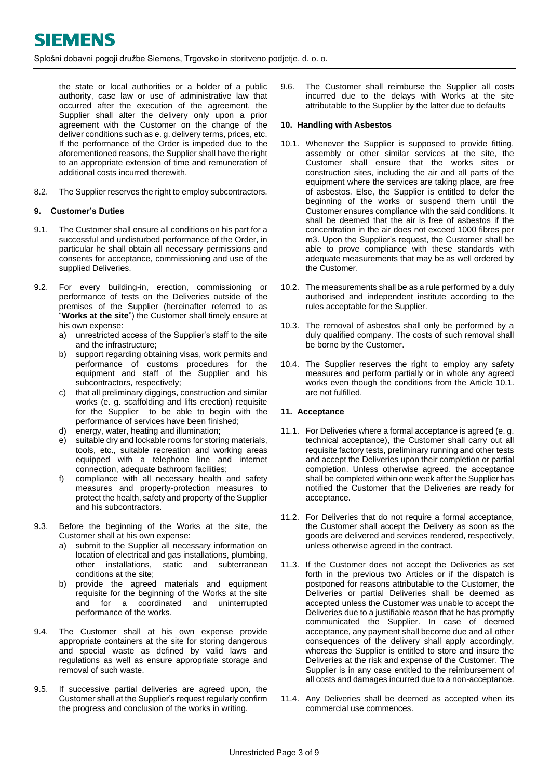the state or local authorities or a holder of a public authority, case law or use of administrative law that occurred after the execution of the agreement, the Supplier shall alter the delivery only upon a prior agreement with the Customer on the change of the deliver conditions such as e. g. delivery terms, prices, etc. If the performance of the Order is impeded due to the aforementioned reasons, the Supplier shall have the right to an appropriate extension of time and remuneration of additional costs incurred therewith.

8.2. The Supplier reserves the right to employ subcontractors.

## <span id="page-2-0"></span>**9. Customer's Duties**

- 9.1. The Customer shall ensure all conditions on his part for a successful and undisturbed performance of the Order, in particular he shall obtain all necessary permissions and consents for acceptance, commissioning and use of the supplied Deliveries.
- 9.2. For every building-in, erection, commissioning or performance of tests on the Deliveries outside of the premises of the Supplier (hereinafter referred to as "**Works at the site**") the Customer shall timely ensure at his own expense:
	- a) unrestricted access of the Supplier's staff to the site and the infrastructure;
	- b) support regarding obtaining visas, work permits and performance of customs procedures for the equipment and staff of the Supplier and his subcontractors, respectively;
	- c) that all preliminary diggings, construction and similar works (e. g. scaffolding and lifts erection) requisite for the Supplier to be able to begin with the performance of services have been finished;
	- d) energy, water, heating and illumination;
	- e) suitable dry and lockable rooms for storing materials, tools, etc., suitable recreation and working areas equipped with a telephone line and internet connection, adequate bathroom facilities;
	- f) compliance with all necessary health and safety measures and property-protection measures to protect the health, safety and property of the Supplier and his subcontractors.
- 9.3. Before the beginning of the Works at the site, the Customer shall at his own expense:
	- a) submit to the Supplier all necessary information on location of electrical and gas installations, plumbing, other installations, static and subterranean conditions at the site;
	- b) provide the agreed materials and equipment requisite for the beginning of the Works at the site and for a coordinated and uninterrupted performance of the works.
- 9.4. The Customer shall at his own expense provide appropriate containers at the site for storing dangerous and special waste as defined by valid laws and regulations as well as ensure appropriate storage and removal of such waste.
- 9.5. If successive partial deliveries are agreed upon, the Customer shall at the Supplier's request regularly confirm the progress and conclusion of the works in writing.

9.6. The Customer shall reimburse the Supplier all costs incurred due to the delays with Works at the site attributable to the Supplier by the latter due to defaults

#### <span id="page-2-1"></span>**10. Handling with Asbestos**

- <span id="page-2-3"></span>10.1. Whenever the Supplier is supposed to provide fitting, assembly or other similar services at the site, the Customer shall ensure that the works sites or construction sites, including the air and all parts of the equipment where the services are taking place, are free of asbestos. Else, the Supplier is entitled to defer the beginning of the works or suspend them until the Customer ensures compliance with the said conditions. It shall be deemed that the air is free of asbestos if the concentration in the air does not exceed 1000 fibres per m3. Upon the Supplier's request, the Customer shall be able to prove compliance with these standards with adequate measurements that may be as well ordered by the Customer.
- 10.2. The measurements shall be as a rule performed by a duly authorised and independent institute according to the rules acceptable for the Supplier.
- 10.3. The removal of asbestos shall only be performed by a duly qualified company. The costs of such removal shall be borne by the Customer.
- 10.4. The Supplier reserves the right to employ any safety measures and perform partially or in whole any agreed works even though the conditions from the Article [10.1.](#page-2-3) are not fulfilled.

# <span id="page-2-2"></span>**11. Acceptance**

- <span id="page-2-4"></span>11.1. For Deliveries where a formal acceptance is agreed (e. g. technical acceptance), the Customer shall carry out all requisite factory tests, preliminary running and other tests and accept the Deliveries upon their completion or partial completion. Unless otherwise agreed, the acceptance shall be completed within one week after the Supplier has notified the Customer that the Deliveries are ready for acceptance.
- 11.2. For Deliveries that do not require a formal acceptance, the Customer shall accept the Delivery as soon as the goods are delivered and services rendered, respectively, unless otherwise agreed in the contract.
- <span id="page-2-5"></span>11.3. If the Customer does not accept the Deliveries as set forth in the previous two Articles or if the dispatch is postponed for reasons attributable to the Customer, the Deliveries or partial Deliveries shall be deemed as accepted unless the Customer was unable to accept the Deliveries due to a justifiable reason that he has promptly communicated the Supplier. In case of deemed acceptance, any payment shall become due and all other consequences of the delivery shall apply accordingly, whereas the Supplier is entitled to store and insure the Deliveries at the risk and expense of the Customer. The Supplier is in any case entitled to the reimbursement of all costs and damages incurred due to a non-acceptance.
- <span id="page-2-6"></span>11.4. Any Deliveries shall be deemed as accepted when its commercial use commences.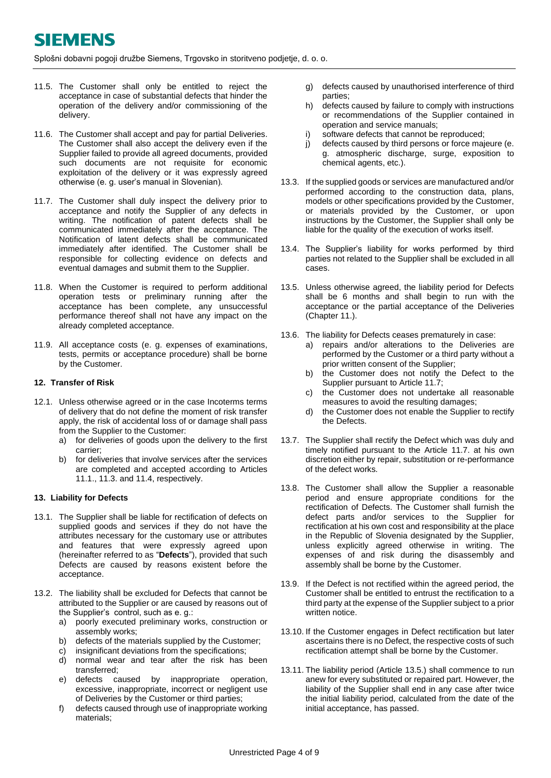- 11.5. The Customer shall only be entitled to reject the acceptance in case of substantial defects that hinder the operation of the delivery and/or commissioning of the delivery.
- 11.6. The Customer shall accept and pay for partial Deliveries. The Customer shall also accept the delivery even if the Supplier failed to provide all agreed documents, provided such documents are not requisite for economic exploitation of the delivery or it was expressly agreed otherwise (e. g. user's manual in Slovenian).
- <span id="page-3-2"></span>11.7. The Customer shall duly inspect the delivery prior to acceptance and notify the Supplier of any defects in writing. The notification of patent defects shall be communicated immediately after the acceptance. The Notification of latent defects shall be communicated immediately after identified. The Customer shall be responsible for collecting evidence on defects and eventual damages and submit them to the Supplier.
- 11.8. When the Customer is required to perform additional operation tests or preliminary running after the acceptance has been complete, any unsuccessful performance thereof shall not have any impact on the already completed acceptance.
- 11.9. All acceptance costs (e. g. expenses of examinations, tests, permits or acceptance procedure) shall be borne by the Customer.

## <span id="page-3-0"></span>**12. Transfer of Risk**

- 12.1. Unless otherwise agreed or in the case Incoterms terms of delivery that do not define the moment of risk transfer apply, the risk of accidental loss of or damage shall pass from the Supplier to the Customer:
	- a) for deliveries of goods upon the delivery to the first carrier;
	- b) for deliveries that involve services after the services are completed and accepted according to Articles [11.1.](#page-2-4), [11.3.](#page-2-5) and [11.4,](#page-2-6) respectively.

#### <span id="page-3-1"></span>**13. Liability for Defects**

- 13.1. The Supplier shall be liable for rectification of defects on supplied goods and services if they do not have the attributes necessary for the customary use or attributes and features that were expressly agreed upon (hereinafter referred to as "**Defects**"), provided that such Defects are caused by reasons existent before the acceptance.
- 13.2. The liability shall be excluded for Defects that cannot be attributed to the Supplier or are caused by reasons out of the Supplier's control, such as e. g.:
	- a) poorly executed preliminary works, construction or assembly works;
	- b) defects of the materials supplied by the Customer;
	- c) insignificant deviations from the specifications;
	- d) normal wear and tear after the risk has been transferred;
	- e) defects caused by inappropriate operation, excessive, inappropriate, incorrect or negligent use of Deliveries by the Customer or third parties;
	- f) defects caused through use of inappropriate working materials;
- g) defects caused by unauthorised interference of third parties;
- h) defects caused by failure to comply with instructions or recommendations of the Supplier contained in operation and service manuals;
- i) software defects that cannot be reproduced;
- j) defects caused by third persons or force majeure (e. g. atmospheric discharge, surge, exposition to chemical agents, etc.).
- 13.3. If the supplied goods or services are manufactured and/or performed according to the construction data, plans, models or other specifications provided by the Customer, or materials provided by the Customer, or upon instructions by the Customer, the Supplier shall only be liable for the quality of the execution of works itself.
- 13.4. The Supplier's liability for works performed by third parties not related to the Supplier shall be excluded in all cases.
- <span id="page-3-3"></span>13.5. Unless otherwise agreed, the liability period for Defects shall be 6 months and shall begin to run with the acceptance or the partial acceptance of the Deliveries (Chapter [11.](#page-2-2)).
- 13.6. The liability for Defects ceases prematurely in case:
	- a) repairs and/or alterations to the Deliveries are performed by the Customer or a third party without a prior written consent of the Supplier;
	- b) the Customer does not notify the Defect to the Supplier pursuant to Article [11.7;](#page-3-2)
	- c) the Customer does not undertake all reasonable measures to avoid the resulting damages;
	- d) the Customer does not enable the Supplier to rectify the Defects.
- 13.7. The Supplier shall rectify the Defect which was duly and timely notified pursuant to the Article [11.7.](#page-3-2) at his own discretion either by repair, substitution or re-performance of the defect works.
- 13.8. The Customer shall allow the Supplier a reasonable period and ensure appropriate conditions for the rectification of Defects. The Customer shall furnish the defect parts and/or services to the Supplier for rectification at his own cost and responsibility at the place in the Republic of Slovenia designated by the Supplier, unless explicitly agreed otherwise in writing. The expenses of and risk during the disassembly and assembly shall be borne by the Customer.
- 13.9. If the Defect is not rectified within the agreed period, the Customer shall be entitled to entrust the rectification to a third party at the expense of the Supplier subject to a prior written notice.
- 13.10. If the Customer engages in Defect rectification but later ascertains there is no Defect, the respective costs of such rectification attempt shall be borne by the Customer.
- 13.11. The liability period (Article [13.5.](#page-3-3)) shall commence to run anew for every substituted or repaired part. However, the liability of the Supplier shall end in any case after twice the initial liability period, calculated from the date of the initial acceptance, has passed.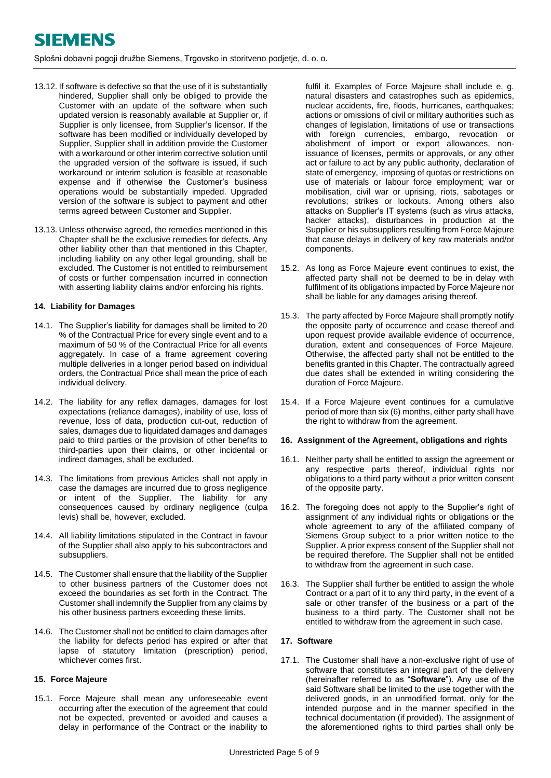- 13.12. If software is defective so that the use of it is substantially hindered, Supplier shall only be obliged to provide the Customer with an update of the software when such updated version is reasonably available at Supplier or, if Supplier is only licensee, from Supplier's licensor. If the software has been modified or individually developed by Supplier, Supplier shall in addition provide the Customer with a workaround or other interim corrective solution until the upgraded version of the software is issued, if such workaround or interim solution is feasible at reasonable expense and if otherwise the Customer's business operations would be substantially impeded. Upgraded version of the software is subject to payment and other terms agreed between Customer and Supplier.
- 13.13. Unless otherwise agreed, the remedies mentioned in this Chapter shall be the exclusive remedies for defects. Any other liability other than that mentioned in this Chapter, including liability on any other legal grounding, shall be excluded. The Customer is not entitled to reimbursement of costs or further compensation incurred in connection with asserting liability claims and/or enforcing his rights.

#### <span id="page-4-0"></span>**14. Liability for Damages**

- 14.1. The Supplier's liability for damages shall be limited to 20 % of the Contractual Price for every single event and to a maximum of 50 % of the Contractual Price for all events aggregately. In case of a frame agreement covering multiple deliveries in a longer period based on individual orders, the Contractual Price shall mean the price of each individual delivery.
- 14.2. The liability for any reflex damages, damages for lost expectations (reliance damages), inability of use, loss of revenue, loss of data, production cut-out, reduction of sales, damages due to liquidated damages and damages paid to third parties or the provision of other benefits to third-parties upon their claims, or other incidental or indirect damages, shall be excluded.
- 14.3. The limitations from previous Articles shall not apply in case the damages are incurred due to gross negligence or intent of the Supplier. The liability for any consequences caused by ordinary negligence (culpa levis) shall be, however, excluded.
- 14.4. All liability limitations stipulated in the Contract in favour of the Supplier shall also apply to his subcontractors and subsuppliers.
- 14.5. The Customer shall ensure that the liability of the Supplier to other business partners of the Customer does not exceed the boundaries as set forth in the Contract. The Customer shall indemnify the Supplier from any claims by his other business partners exceeding these limits.
- 14.6. The Customer shall not be entitled to claim damages after the liability for defects period has expired or after that lapse of statutory limitation (prescription) period, whichever comes first.

#### <span id="page-4-1"></span>**15. Force Majeure**

15.1. Force Majeure shall mean any unforeseeable event occurring after the execution of the agreement that could not be expected, prevented or avoided and causes a delay in performance of the Contract or the inability to fulfil it. Examples of Force Majeure shall include e. g. natural disasters and catastrophes such as epidemics, nuclear accidents, fire, floods, hurricanes, earthquakes; actions or omissions of civil or military authorities such as changes of legislation, limitations of use or transactions with foreign currencies, embargo, revocation or abolishment of import or export allowances, nonissuance of licenses, permits or approvals, or any other act or failure to act by any public authority, declaration of state of emergency, imposing of quotas or restrictions on use of materials or labour force employment; war or mobilisation, civil war or uprising, riots, sabotages or revolutions; strikes or lockouts. Among others also attacks on Supplier's IT systems (such as virus attacks, hacker attacks), disturbances in production at the Supplier or his subsuppliers resulting from Force Majeure that cause delays in delivery of key raw materials and/or components.

- 15.2. As long as Force Majeure event continues to exist, the affected party shall not be deemed to be in delay with fulfilment of its obligations impacted by Force Majeure nor shall be liable for any damages arising thereof.
- 15.3. The party affected by Force Majeure shall promptly notify the opposite party of occurrence and cease thereof and upon request provide available evidence of occurrence, duration, extent and consequences of Force Majeure. Otherwise, the affected party shall not be entitled to the benefits granted in this Chapter. The contractually agreed due dates shall be extended in writing considering the duration of Force Majeure.
- 15.4. If a Force Majeure event continues for a cumulative period of more than six (6) months, either party shall have the right to withdraw from the agreement.

#### <span id="page-4-2"></span>**16. Assignment of the Agreement, obligations and rights**

- 16.1. Neither party shall be entitled to assign the agreement or any respective parts thereof, individual rights nor obligations to a third party without a prior written consent of the opposite party.
- 16.2. The foregoing does not apply to the Supplier's right of assignment of any individual rights or obligations or the whole agreement to any of the affiliated company of Siemens Group subject to a prior written notice to the Supplier. A prior express consent of the Supplier shall not be required therefore. The Supplier shall not be entitled to withdraw from the agreement in such case.
- 16.3. The Supplier shall further be entitled to assign the whole Contract or a part of it to any third party, in the event of a sale or other transfer of the business or a part of the business to a third party. The Customer shall not be entitled to withdraw from the agreement in such case.

## <span id="page-4-3"></span>**17. Software**

17.1. The Customer shall have a non-exclusive right of use of software that constitutes an integral part of the delivery (hereinafter referred to as "**Software**"). Any use of the said Software shall be limited to the use together with the delivered goods, in an unmodified format, only for the intended purpose and in the manner specified in the technical documentation (if provided). The assignment of the aforementioned rights to third parties shall only be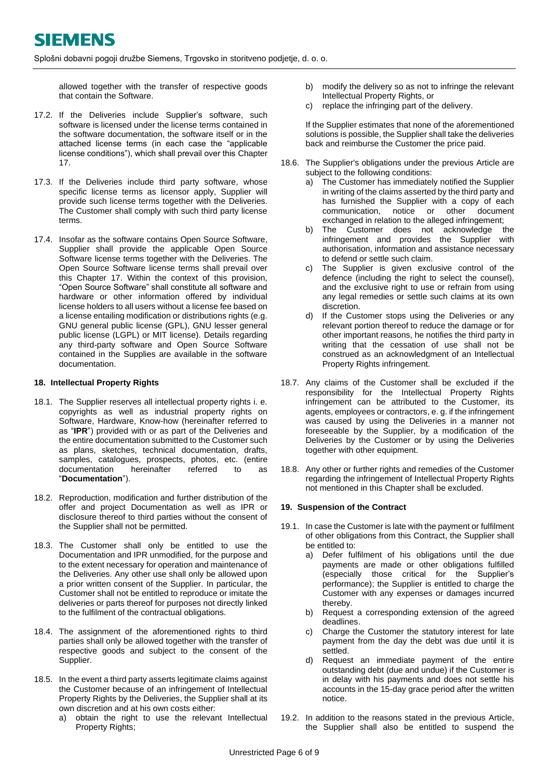allowed together with the transfer of respective goods that contain the Software.

- 17.2. If the Deliveries include Supplier's software, such software is licensed under the license terms contained in the software documentation, the software itself or in the attached license terms (in each case the "applicable license conditions"), which shall prevail over this Chapter 17.
- 17.3. If the Deliveries include third party software, whose specific license terms as licensor apply, Supplier will provide such license terms together with the Deliveries. The Customer shall comply with such third party license terms.
- 17.4. Insofar as the software contains Open Source Software, Supplier shall provide the applicable Open Source Software license terms together with the Deliveries. The Open Source Software license terms shall prevail over this Chapter 17. Within the context of this provision, "Open Source Software" shall constitute all software and hardware or other information offered by individual license holders to all users without a license fee based on a license entailing modification or distributions rights (e.g. GNU general public license (GPL), GNU lesser general public license (LGPL) or MIT license). Details regarding any third-party software and Open Source Software contained in the Supplies are available in the software documentation.

## <span id="page-5-0"></span>**18. Intellectual Property Rights**

- 18.1. The Supplier reserves all intellectual property rights i. e. copyrights as well as industrial property rights on Software, Hardware, Know-how (hereinafter referred to as "**IPR**") provided with or as part of the Deliveries and the entire documentation submitted to the Customer such as plans, sketches, technical documentation, drafts, samples, catalogues, prospects, photos, etc. (entire documentation hereinafter referred to as "**Documentation**").
- 18.2. Reproduction, modification and further distribution of the offer and project Documentation as well as IPR or disclosure thereof to third parties without the consent of the Supplier shall not be permitted.
- 18.3. The Customer shall only be entitled to use the Documentation and IPR unmodified, for the purpose and to the extent necessary for operation and maintenance of the Deliveries. Any other use shall only be allowed upon a prior written consent of the Supplier. In particular, the Customer shall not be entitled to reproduce or imitate the deliveries or parts thereof for purposes not directly linked to the fulfilment of the contractual obligations.
- 18.4. The assignment of the aforementioned rights to third parties shall only be allowed together with the transfer of respective goods and subject to the consent of the Supplier.
- 18.5. In the event a third party asserts legitimate claims against the Customer because of an infringement of Intellectual Property Rights by the Deliveries, the Supplier shall at its own discretion and at his own costs either:
	- a) obtain the right to use the relevant Intellectual Property Rights;
- b) modify the delivery so as not to infringe the relevant Intellectual Property Rights, or
- c) replace the infringing part of the delivery.

If the Supplier estimates that none of the aforementioned solutions is possible, the Supplier shall take the deliveries back and reimburse the Customer the price paid.

- 18.6. The Supplier's obligations under the previous Article are subject to the following conditions:
	- a) The Customer has immediately notified the Supplier in writing of the claims asserted by the third party and has furnished the Supplier with a copy of each<br>communication, notice or other document communication, notice or other exchanged in relation to the alleged infringement;
	- b) The Customer does not acknowledge the infringement and provides the Supplier with authorisation, information and assistance necessary to defend or settle such claim.
	- c) The Supplier is given exclusive control of the defence (including the right to select the counsel), and the exclusive right to use or refrain from using any legal remedies or settle such claims at its own discretion.
	- d) If the Customer stops using the Deliveries or any relevant portion thereof to reduce the damage or for other important reasons, he notifies the third party in writing that the cessation of use shall not be construed as an acknowledgment of an Intellectual Property Rights infringement.
- 18.7. Any claims of the Customer shall be excluded if the responsibility for the Intellectual Property Rights infringement can be attributed to the Customer, its agents, employees or contractors, e. g. if the infringement was caused by using the Deliveries in a manner not foreseeable by the Supplier, by a modification of the Deliveries by the Customer or by using the Deliveries together with other equipment.
- 18.8. Any other or further rights and remedies of the Customer regarding the infringement of Intellectual Property Rights not mentioned in this Chapter shall be excluded.

#### <span id="page-5-1"></span>**19. Suspension of the Contract**

- <span id="page-5-2"></span>19.1. In case the Customer is late with the payment or fulfilment of other obligations from this Contract, the Supplier shall be entitled to:
	- a) Defer fulfilment of his obligations until the due payments are made or other obligations fulfilled (especially those critical for the Supplier's performance); the Supplier is entitled to charge the Customer with any expenses or damages incurred thereby.
	- b) Request a corresponding extension of the agreed deadlines.
	- c) Charge the Customer the statutory interest for late payment from the day the debt was due until it is settled.
	- d) Request an immediate payment of the entire outstanding debt (due and undue) if the Customer is in delay with his payments and does not settle his accounts in the 15-day grace period after the written notice.
- <span id="page-5-4"></span><span id="page-5-3"></span>19.2. In addition to the reasons stated in the previous Article, the Supplier shall also be entitled to suspend the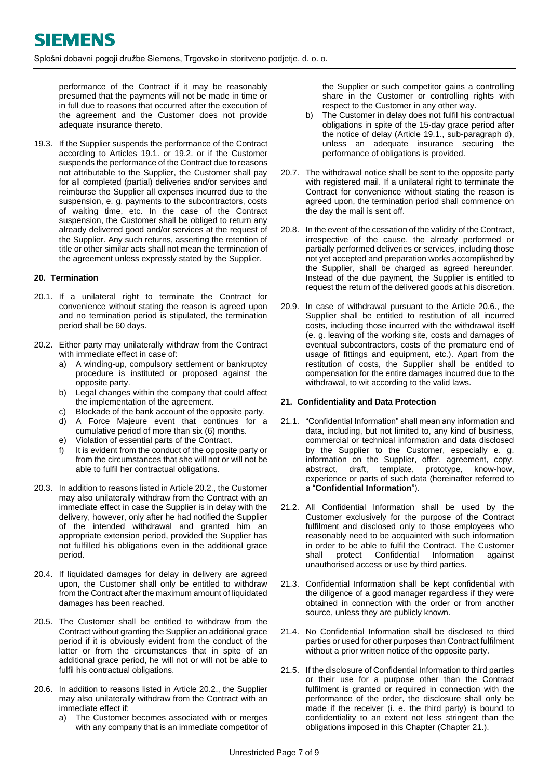performance of the Contract if it may be reasonably presumed that the payments will not be made in time or in full due to reasons that occurred after the execution of the agreement and the Customer does not provide adequate insurance thereto.

<span id="page-6-2"></span>19.3. If the Supplier suspends the performance of the Contract according to Articles [19.1.](#page-5-2) or [19.2.](#page-5-3) or if the Customer suspends the performance of the Contract due to reasons not attributable to the Supplier, the Customer shall pay for all completed (partial) deliveries and/or services and reimburse the Supplier all expenses incurred due to the suspension, e. g. payments to the subcontractors, costs of waiting time, etc. In the case of the Contract suspension, the Customer shall be obliged to return any already delivered good and/or services at the request of the Supplier. Any such returns, asserting the retention of title or other similar acts shall not mean the termination of the agreement unless expressly stated by the Supplier.

## <span id="page-6-0"></span>**20. Termination**

- 20.1. If a unilateral right to terminate the Contract for convenience without stating the reason is agreed upon and no termination period is stipulated, the termination period shall be 60 days.
- <span id="page-6-3"></span>20.2. Either party may unilaterally withdraw from the Contract with immediate effect in case of:
	- a) A winding-up, compulsory settlement or bankruptcy procedure is instituted or proposed against the opposite party.
	- b) Legal changes within the company that could affect the implementation of the agreement.
	- c) Blockade of the bank account of the opposite party.
	- d) A Force Majeure event that continues for a cumulative period of more than six (6) months.
	- e) Violation of essential parts of the Contract.
	- f) It is evident from the conduct of the opposite party or from the circumstances that she will not or will not be able to fulfil her contractual obligations.
- 20.3. In addition to reasons listed in Articl[e 20.2.](#page-6-3), the Customer may also unilaterally withdraw from the Contract with an immediate effect in case the Supplier is in delay with the delivery, however, only after he had notified the Supplier of the intended withdrawal and granted him an appropriate extension period, provided the Supplier has not fulfilled his obligations even in the additional grace period.
- 20.4. If liquidated damages for delay in delivery are agreed upon, the Customer shall only be entitled to withdraw from the Contract after the maximum amount of liquidated damages has been reached.
- 20.5. The Customer shall be entitled to withdraw from the Contract without granting the Supplier an additional grace period if it is obviously evident from the conduct of the latter or from the circumstances that in spite of an additional grace period, he will not or will not be able to fulfil his contractual obligations.
- <span id="page-6-4"></span>20.6. In addition to reasons listed in Article [20.2.](#page-6-3), the Supplier may also unilaterally withdraw from the Contract with an immediate effect if:
	- a) The Customer becomes associated with or merges with any company that is an immediate competitor of

the Supplier or such competitor gains a controlling share in the Customer or controlling rights with respect to the Customer in any other way.

- b) The Customer in delay does not fulfil his contractual obligations in spite of the 15-day grace period after the notice of delay (Article [19.1.](#page-5-2), sub-paragraph [d\),](#page-5-4) unless an adequate insurance securing the performance of obligations is provided.
- 20.7. The withdrawal notice shall be sent to the opposite party with registered mail. If a unilateral right to terminate the Contract for convenience without stating the reason is agreed upon, the termination period shall commence on the day the mail is sent off.
- 20.8. In the event of the cessation of the validity of the Contract, irrespective of the cause, the already performed or partially performed deliveries or services, including those not yet accepted and preparation works accomplished by the Supplier, shall be charged as agreed hereunder. Instead of the due payment, the Supplier is entitled to request the return of the delivered goods at his discretion.
- 20.9. In case of withdrawal pursuant to the Article [20.6.](#page-6-4), the Supplier shall be entitled to restitution of all incurred costs, including those incurred with the withdrawal itself (e. g. leaving of the working site, costs and damages of eventual subcontractors, costs of the premature end of usage of fittings and equipment, etc.). Apart from the restitution of costs, the Supplier shall be entitled to compensation for the entire damages incurred due to the withdrawal, to wit according to the valid laws.

# <span id="page-6-1"></span>**21. Confidentiality and Data Protection**

- 21.1. "Confidential Information" shall mean any information and data, including, but not limited to, any kind of business, commercial or technical information and data disclosed by the Supplier to the Customer, especially e. g. information on the Supplier, offer, agreement, copy, abstract, draft, template, prototype, know-how, experience or parts of such data (hereinafter referred to a "**Confidential Information**").
- 21.2. All Confidential Information shall be used by the Customer exclusively for the purpose of the Contract fulfilment and disclosed only to those employees who reasonably need to be acquainted with such information in order to be able to fulfil the Contract. The Customer shall protect Confidential Information against unauthorised access or use by third parties.
- 21.3. Confidential Information shall be kept confidential with the diligence of a good manager regardless if they were obtained in connection with the order or from another source, unless they are publicly known.
- 21.4. No Confidential Information shall be disclosed to third parties or used for other purposes than Contract fulfilment without a prior written notice of the opposite party.
- 21.5. If the disclosure of Confidential Information to third parties or their use for a purpose other than the Contract fulfilment is granted or required in connection with the performance of the order, the disclosure shall only be made if the receiver (i. e. the third party) is bound to confidentiality to an extent not less stringent than the obligations imposed in this Chapter (Chapter [21.](#page-6-1)).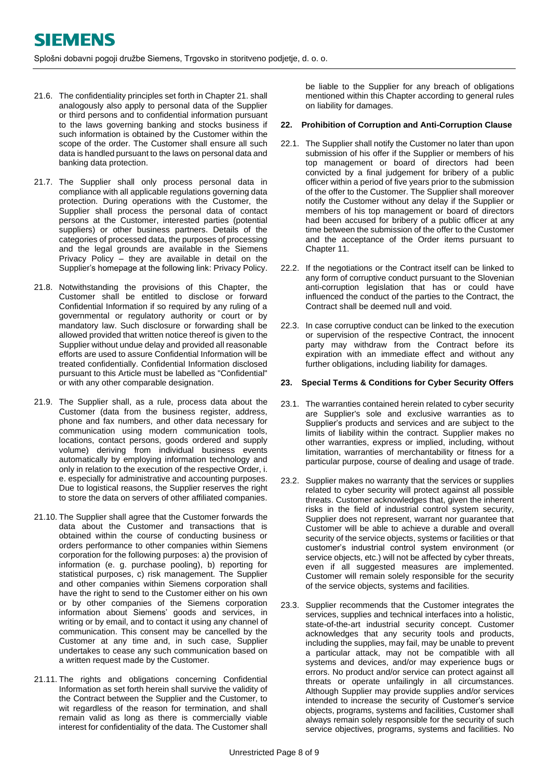- 21.6. The confidentiality principles set forth in Chapter [21.](#page-6-1) shall analogously also apply to personal data of the Supplier or third persons and to confidential information pursuant to the laws governing banking and stocks business if such information is obtained by the Customer within the scope of the order. The Customer shall ensure all such data is handled pursuant to the laws on personal data and banking data protection.
- 21.7. The Supplier shall only process personal data in compliance with all applicable regulations governing data protection. During operations with the Customer, the Supplier shall process the personal data of contact persons at the Customer, interested parties (potential suppliers) or other business partners. Details of the categories of processed data, the purposes of processing and the legal grounds are available in the Siemens Privacy Policy – they are available in detail on the Supplier's homepage at the following link[: Privacy Policy.](https://new.siemens.com/global/en/general/privacy-notice.html)
- 21.8. Notwithstanding the provisions of this Chapter, the Customer shall be entitled to disclose or forward Confidential Information if so required by any ruling of a governmental or regulatory authority or court or by mandatory law. Such disclosure or forwarding shall be allowed provided that written notice thereof is given to the Supplier without undue delay and provided all reasonable efforts are used to assure Confidential Information will be treated confidentially. Confidential Information disclosed pursuant to this Article must be labelled as "Confidential" or with any other comparable designation.
- 21.9. The Supplier shall, as a rule, process data about the Customer (data from the business register, address, phone and fax numbers, and other data necessary for communication using modern communication tools, locations, contact persons, goods ordered and supply volume) deriving from individual business events automatically by employing information technology and only in relation to the execution of the respective Order, i. e. especially for administrative and accounting purposes. Due to logistical reasons, the Supplier reserves the right to store the data on servers of other affiliated companies.
- 21.10. The Supplier shall agree that the Customer forwards the data about the Customer and transactions that is obtained within the course of conducting business or orders performance to other companies within Siemens corporation for the following purposes: a) the provision of information (e. g. purchase pooling), b) reporting for statistical purposes, c) risk management. The Supplier and other companies within Siemens corporation shall have the right to send to the Customer either on his own or by other companies of the Siemens corporation information about Siemens' goods and services, in writing or by email, and to contact it using any channel of communication. This consent may be cancelled by the Customer at any time and, in such case, Supplier undertakes to cease any such communication based on a written request made by the Customer.
- 21.11. The rights and obligations concerning Confidential Information as set forth herein shall survive the validity of the Contract between the Supplier and the Customer, to wit regardless of the reason for termination, and shall remain valid as long as there is commercially viable interest for confidentiality of the data. The Customer shall

be liable to the Supplier for any breach of obligations mentioned within this Chapter according to general rules on liability for damages.

# <span id="page-7-0"></span>**22. Prohibition of Corruption and Anti-Corruption Clause**

- 22.1. The Supplier shall notify the Customer no later than upon submission of his offer if the Supplier or members of his top management or board of directors had been convicted by a final judgement for bribery of a public officer within a period of five years prior to the submission of the offer to the Customer. The Supplier shall moreover notify the Customer without any delay if the Supplier or members of his top management or board of directors had been accused for bribery of a public officer at any time between the submission of the offer to the Customer and the acceptance of the Order items pursuant to Chapter 11.
- 22.2. If the negotiations or the Contract itself can be linked to any form of corruptive conduct pursuant to the Slovenian anti-corruption legislation that has or could have influenced the conduct of the parties to the Contract, the Contract shall be deemed null and void.
- 22.3. In case corruptive conduct can be linked to the execution or supervision of the respective Contract, the innocent party may withdraw from the Contract before its expiration with an immediate effect and without any further obligations, including liability for damages.

#### **23. Special Terms & Conditions for Cyber Security Offers**

- 23.1. The warranties contained herein related to cyber security are Supplier's sole and exclusive warranties as to Supplier's products and services and are subject to the limits of liability within the contract. Supplier makes no other warranties, express or implied, including, without limitation, warranties of merchantability or fitness for a particular purpose, course of dealing and usage of trade.
- 23.2. Supplier makes no warranty that the services or supplies related to cyber security will protect against all possible threats. Customer acknowledges that, given the inherent risks in the field of industrial control system security, Supplier does not represent, warrant nor guarantee that Customer will be able to achieve a durable and overall security of the service objects, systems or facilities or that customer's industrial control system environment (or service objects, etc.) will not be affected by cyber threats, even if all suggested measures are implemented. Customer will remain solely responsible for the security of the service objects, systems and facilities.
- 23.3. Supplier recommends that the Customer integrates the services, supplies and technical interfaces into a holistic, state-of-the-art industrial security concept. Customer acknowledges that any security tools and products, including the supplies, may fail, may be unable to prevent a particular attack, may not be compatible with all systems and devices, and/or may experience bugs or errors. No product and/or service can protect against all threats or operate unfailingly in all circumstances. Although Supplier may provide supplies and/or services intended to increase the security of Customer's service objects, programs, systems and facilities, Customer shall always remain solely responsible for the security of such service objectives, programs, systems and facilities. No